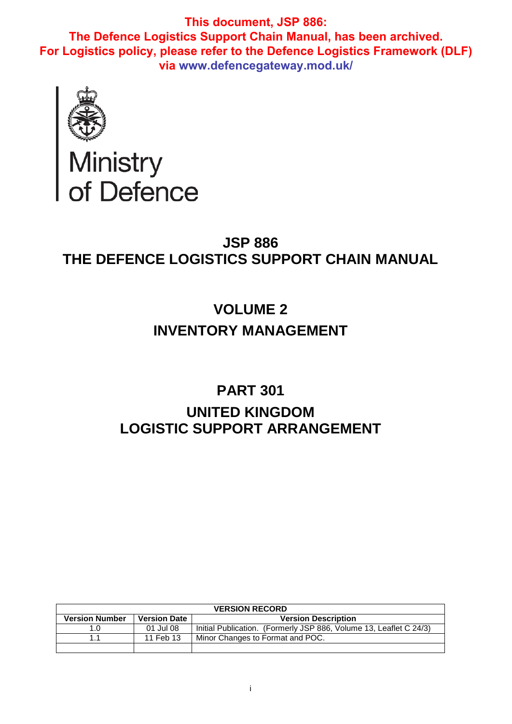**This document, JSP 886: The Defence Logistics Support Chain Manual, has been archived. For Logistics policy, please refer to the Defence Logistics Framework (DLF) via www.defencegateway.mod.uk/**



Ministry<br>of Defence

# **JSP 886 THE DEFENCE LOGISTICS SUPPORT CHAIN MANUAL**

# **VOLUME 2 INVENTORY MANAGEMENT**

# **PART 301 UNITED KINGDOM LOGISTIC SUPPORT ARRANGEMENT**

| <b>VERSION RECORD</b> |                     |                                                                    |  |  |
|-----------------------|---------------------|--------------------------------------------------------------------|--|--|
| <b>Version Number</b> | <b>Version Date</b> | <b>Version Description</b>                                         |  |  |
| 1.0                   | 01 Jul 08           | Initial Publication. (Formerly JSP 886, Volume 13, Leaflet C 24/3) |  |  |
| 11                    | 11 Feb 13           | Minor Changes to Format and POC.                                   |  |  |
|                       |                     |                                                                    |  |  |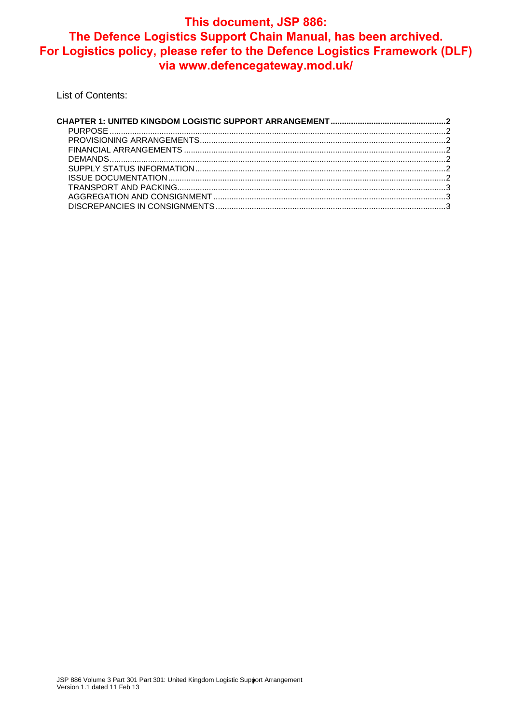# This document, JSP 886: The Defence Logistics Support Chain Manual, has been archived. For Logistics policy, please refer to the Defence Logistics Framework (DLF) via www.defencegateway.mod.uk/

List of Contents: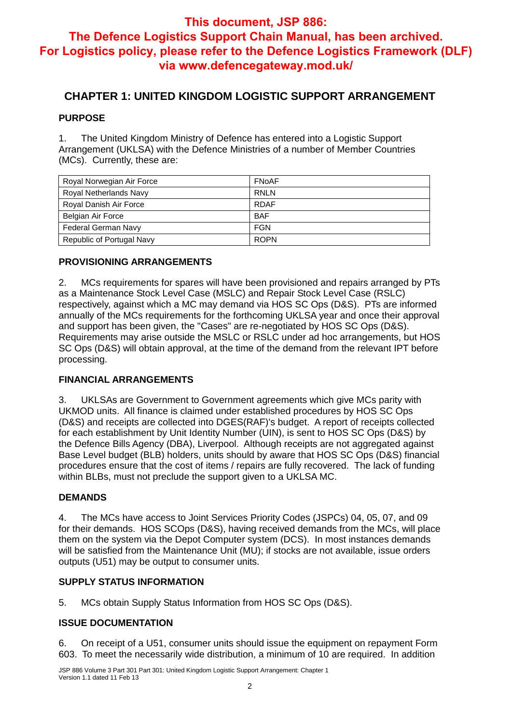## **This document, JSP 886:**

# **The Defence Logistics Support Chain Manual, has been archived. For Logistics policy, please refer to the Defence Logistics Framework (DLF) via www.defencegateway.mod.uk/**

## **CHAPTER 1: UNITED KINGDOM LOGISTIC SUPPORT ARRANGEMENT**

#### **PURPOSE**

1. The United Kingdom Ministry of Defence has entered into a Logistic Support Arrangement (UKLSA) with the Defence Ministries of a number of Member Countries (MCs). Currently, these are:

| Royal Norwegian Air Force  | FNoAF       |
|----------------------------|-------------|
| Royal Netherlands Navy     | RNLN        |
| Royal Danish Air Force     | <b>RDAF</b> |
| Belgian Air Force          | <b>BAF</b>  |
| <b>Federal German Navy</b> | <b>FGN</b>  |
| Republic of Portugal Navy  | <b>ROPN</b> |

#### **PROVISIONING ARRANGEMENTS**

2. MCs requirements for spares will have been provisioned and repairs arranged by PTs as a Maintenance Stock Level Case (MSLC) and Repair Stock Level Case (RSLC) respectively, against which a MC may demand via HOS SC Ops (D&S). PTs are informed annually of the MCs requirements for the forthcoming UKLSA year and once their approval and support has been given, the "Cases" are re-negotiated by HOS SC Ops (D&S). Requirements may arise outside the MSLC or RSLC under ad hoc arrangements, but HOS SC Ops (D&S) will obtain approval, at the time of the demand from the relevant IPT before processing.

#### **FINANCIAL ARRANGEMENTS**

3. UKLSAs are Government to Government agreements which give MCs parity with UKMOD units. All finance is claimed under established procedures by HOS SC Ops (D&S) and receipts are collected into DGES(RAF)'s budget. A report of receipts collected for each establishment by Unit Identity Number (UIN), is sent to HOS SC Ops (D&S) by the Defence Bills Agency (DBA), Liverpool. Although receipts are not aggregated against Base Level budget (BLB) holders, units should by aware that HOS SC Ops (D&S) financial procedures ensure that the cost of items / repairs are fully recovered. The lack of funding within BLBs, must not preclude the support given to a UKLSA MC.

#### **DEMANDS**

4. The MCs have access to Joint Services Priority Codes (JSPCs) 04, 05, 07, and 09 for their demands. HOS SCOps (D&S), having received demands from the MCs, will place them on the system via the Depot Computer system (DCS). In most instances demands will be satisfied from the Maintenance Unit (MU); if stocks are not available, issue orders outputs (U51) may be output to consumer units.

## **SUPPLY STATUS INFORMATION**

5. MCs obtain Supply Status Information from HOS SC Ops (D&S).

## **ISSUE DOCUMENTATION**

6. On receipt of a U51, consumer units should issue the equipment on repayment Form 603. To meet the necessarily wide distribution, a minimum of 10 are required. In addition